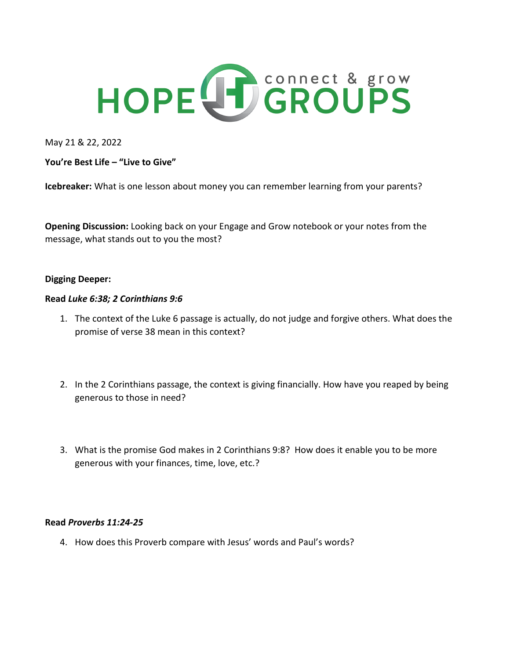

May 21 & 22, 2022

**You're Best Life – "Live to Give"**

**Icebreaker:** What is one lesson about money you can remember learning from your parents?

**Opening Discussion:** Looking back on your Engage and Grow notebook or your notes from the message, what stands out to you the most?

## **Digging Deeper:**

## **Read** *Luke 6:38; 2 Corinthians 9:6*

- 1. The context of the Luke 6 passage is actually, do not judge and forgive others. What does the promise of verse 38 mean in this context?
- 2. In the 2 Corinthians passage, the context is giving financially. How have you reaped by being generous to those in need?
- 3. What is the promise God makes in 2 Corinthians 9:8? How does it enable you to be more generous with your finances, time, love, etc.?

## **Read** *Proverbs 11:24-25*

4. How does this Proverb compare with Jesus' words and Paul's words?